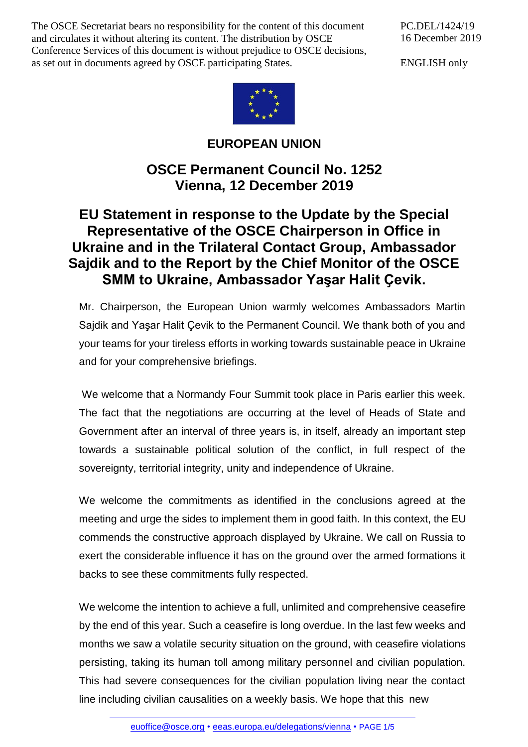The OSCE Secretariat bears no responsibility for the content of this document and circulates it without altering its content. The distribution by OSCE Conference Services of this document is without prejudice to OSCE decisions, as set out in documents agreed by OSCE participating States.

PC.DEL/1424/19 16 December 2019

ENGLISH only



**EUROPEAN UNION**

## **OSCE Permanent Council No. 1252 Vienna, 12 December 2019**

## **EU Statement in response to the Update by the Special Representative of the OSCE Chairperson in Office in Ukraine and in the Trilateral Contact Group, Ambassador Sajdik and to the Report by the Chief Monitor of the OSCE SMM to Ukraine, Ambassador Yaşar Halit Ҫevik.**

Mr. Chairperson, the European Union warmly welcomes Ambassadors Martin Sajdik and Yaşar Halit Çevik to the Permanent Council. We thank both of you and your teams for your tireless efforts in working towards sustainable peace in Ukraine and for your comprehensive briefings.

We welcome that a Normandy Four Summit took place in Paris earlier this week. The fact that the negotiations are occurring at the level of Heads of State and Government after an interval of three years is, in itself, already an important step towards a sustainable political solution of the conflict, in full respect of the sovereignty, territorial integrity, unity and independence of Ukraine.

We welcome the commitments as identified in the conclusions agreed at the meeting and urge the sides to implement them in good faith. In this context, the EU commends the constructive approach displayed by Ukraine. We call on Russia to exert the considerable influence it has on the ground over the armed formations it backs to see these commitments fully respected.

We welcome the intention to achieve a full, unlimited and comprehensive ceasefire by the end of this year. Such a ceasefire is long overdue. In the last few weeks and months we saw a volatile security situation on the ground, with ceasefire violations persisting, taking its human toll among military personnel and civilian population. This had severe consequences for the civilian population living near the contact line including civilian causalities on a weekly basis. We hope that this new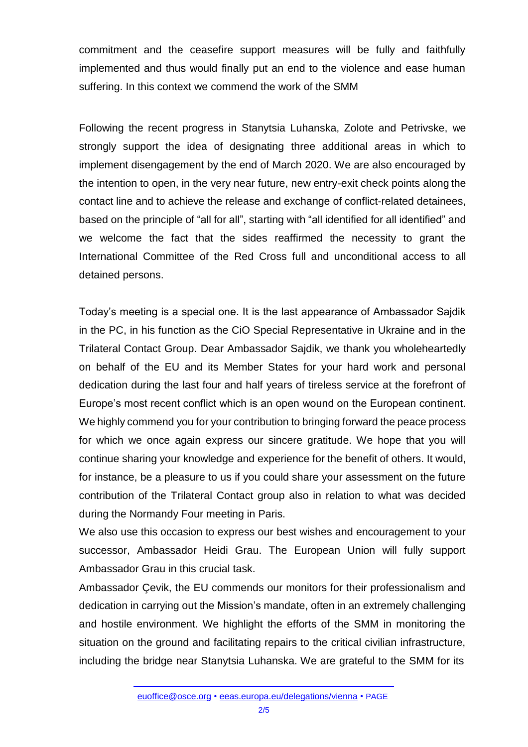commitment and the ceasefire support measures will be fully and faithfully implemented and thus would finally put an end to the violence and ease human suffering. In this context we commend the work of the SMM

Following the recent progress in Stanytsia Luhanska, Zolote and Petrivske, we strongly support the idea of designating three additional areas in which to implement disengagement by the end of March 2020. We are also encouraged by the intention to open, in the very near future, new entry-exit check points along the contact line and to achieve the release and exchange of conflict-related detainees, based on the principle of "all for all", starting with "all identified for all identified" and we welcome the fact that the sides reaffirmed the necessity to grant the International Committee of the Red Cross full and unconditional access to all detained persons.

Today's meeting is a special one. It is the last appearance of Ambassador Sajdik in the PC, in his function as the CiO Special Representative in Ukraine and in the Trilateral Contact Group. Dear Ambassador Sajdik, we thank you wholeheartedly on behalf of the EU and its Member States for your hard work and personal dedication during the last four and half years of tireless service at the forefront of Europe's most recent conflict which is an open wound on the European continent. We highly commend you for your contribution to bringing forward the peace process for which we once again express our sincere gratitude. We hope that you will continue sharing your knowledge and experience for the benefit of others. It would, for instance, be a pleasure to us if you could share your assessment on the future contribution of the Trilateral Contact group also in relation to what was decided during the Normandy Four meeting in Paris.

We also use this occasion to express our best wishes and encouragement to your successor, Ambassador Heidi Grau. The European Union will fully support Ambassador Grau in this crucial task.

Ambassador Çevik, the EU commends our monitors for their professionalism and dedication in carrying out the Mission's mandate, often in an extremely challenging and hostile environment. We highlight the efforts of the SMM in monitoring the situation on the ground and facilitating repairs to the critical civilian infrastructure, including the bridge near Stanytsia Luhanska. We are grateful to the SMM for its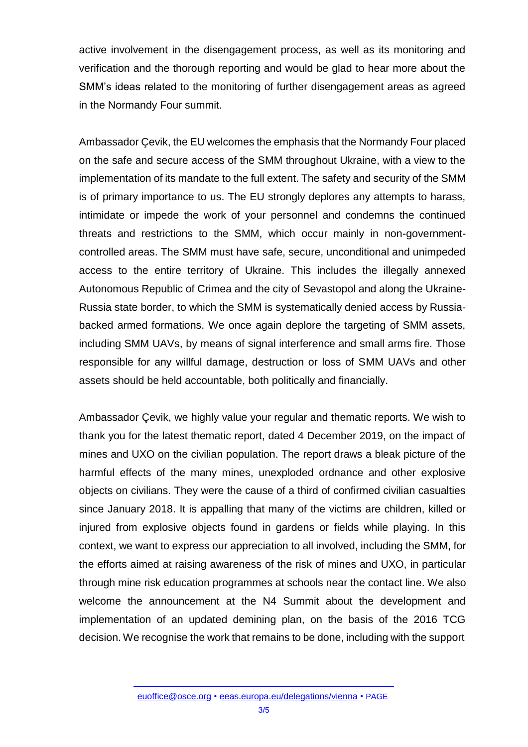active involvement in the disengagement process, as well as its monitoring and verification and the thorough reporting and would be glad to hear more about the SMM's ideas related to the monitoring of further disengagement areas as agreed in the Normandy Four summit.

Ambassador Çevik, the EU welcomes the emphasis that the Normandy Four placed on the safe and secure access of the SMM throughout Ukraine, with a view to the implementation of its mandate to the full extent. The safety and security of the SMM is of primary importance to us. The EU strongly deplores any attempts to harass, intimidate or impede the work of your personnel and condemns the continued threats and restrictions to the SMM, which occur mainly in non-governmentcontrolled areas. The SMM must have safe, secure, unconditional and unimpeded access to the entire territory of Ukraine. This includes the illegally annexed Autonomous Republic of Crimea and the city of Sevastopol and along the Ukraine-Russia state border, to which the SMM is systematically denied access by Russiabacked armed formations. We once again deplore the targeting of SMM assets, including SMM UAVs, by means of signal interference and small arms fire. Those responsible for any willful damage, destruction or loss of SMM UAVs and other assets should be held accountable, both politically and financially.

Ambassador Çevik, we highly value your regular and thematic reports. We wish to thank you for the latest thematic report, dated 4 December 2019, on the impact of mines and UXO on the civilian population. The report draws a bleak picture of the harmful effects of the many mines, unexploded ordnance and other explosive objects on civilians. They were the cause of a third of confirmed civilian casualties since January 2018. It is appalling that many of the victims are children, killed or injured from explosive objects found in gardens or fields while playing. In this context, we want to express our appreciation to all involved, including the SMM, for the efforts aimed at raising awareness of the risk of mines and UXO, in particular through mine risk education programmes at schools near the contact line. We also welcome the announcement at the N4 Summit about the development and implementation of an updated demining plan, on the basis of the 2016 TCG decision. We recognise the work that remains to be done, including with the support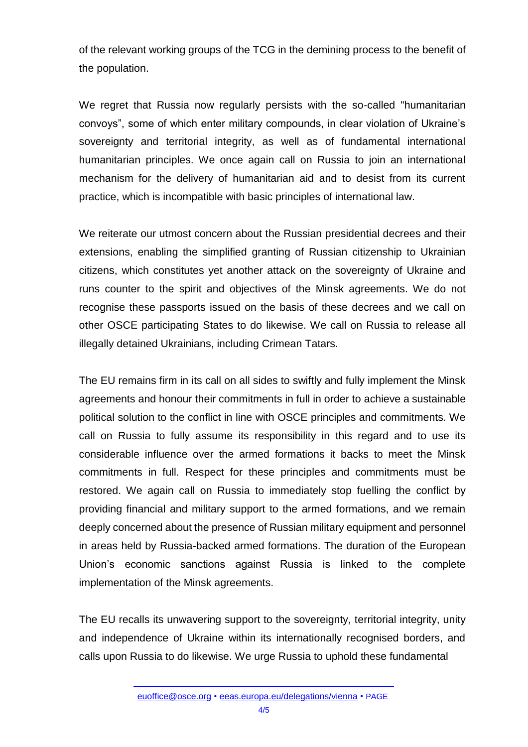of the relevant working groups of the TCG in the demining process to the benefit of the population.

We regret that Russia now regularly persists with the so-called "humanitarian convoys", some of which enter military compounds, in clear violation of Ukraine's sovereignty and territorial integrity, as well as of fundamental international humanitarian principles. We once again call on Russia to join an international mechanism for the delivery of humanitarian aid and to desist from its current practice, which is incompatible with basic principles of international law.

We reiterate our utmost concern about the Russian presidential decrees and their extensions, enabling the simplified granting of Russian citizenship to Ukrainian citizens, which constitutes yet another attack on the sovereignty of Ukraine and runs counter to the spirit and objectives of the Minsk agreements. We do not recognise these passports issued on the basis of these decrees and we call on other OSCE participating States to do likewise. We call on Russia to release all illegally detained Ukrainians, including Crimean Tatars.

The EU remains firm in its call on all sides to swiftly and fully implement the Minsk agreements and honour their commitments in full in order to achieve a sustainable political solution to the conflict in line with OSCE principles and commitments. We call on Russia to fully assume its responsibility in this regard and to use its considerable influence over the armed formations it backs to meet the Minsk commitments in full. Respect for these principles and commitments must be restored. We again call on Russia to immediately stop fuelling the conflict by providing financial and military support to the armed formations, and we remain deeply concerned about the presence of Russian military equipment and personnel in areas held by Russia-backed armed formations. The duration of the European Union's economic sanctions against Russia is linked to the complete implementation of the Minsk agreements.

The EU recalls its unwavering support to the sovereignty, territorial integrity, unity and independence of Ukraine within its internationally recognised borders, and calls upon Russia to do likewise. We urge Russia to uphold these fundamental